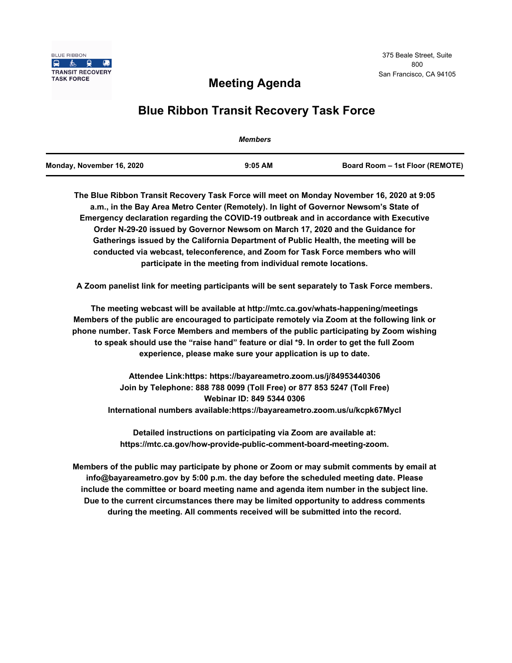

## **Meeting Agenda**

# **Blue Ribbon Transit Recovery Task Force**

|                           | <b>Members</b> |                                 |
|---------------------------|----------------|---------------------------------|
| Monday, November 16, 2020 | $9:05$ AM      | Board Room - 1st Floor (REMOTE) |

**The Blue Ribbon Transit Recovery Task Force will meet on Monday November 16, 2020 at 9:05 a.m., in the Bay Area Metro Center (Remotely). In light of Governor Newsom's State of Emergency declaration regarding the COVID-19 outbreak and in accordance with Executive Order N-29-20 issued by Governor Newsom on March 17, 2020 and the Guidance for Gatherings issued by the California Department of Public Health, the meeting will be conducted via webcast, teleconference, and Zoom for Task Force members who will participate in the meeting from individual remote locations.** 

**A Zoom panelist link for meeting participants will be sent separately to Task Force members.**

**The meeting webcast will be available at http://mtc.ca.gov/whats-happening/meetings Members of the public are encouraged to participate remotely via Zoom at the following link or phone number. Task Force Members and members of the public participating by Zoom wishing to speak should use the "raise hand" feature or dial \*9. In order to get the full Zoom experience, please make sure your application is up to date.**

**Attendee Link:https: https://bayareametro.zoom.us/j/84953440306 Join by Telephone: 888 788 0099 (Toll Free) or 877 853 5247 (Toll Free) Webinar ID: 849 5344 0306 International numbers available:https://bayareametro.zoom.us/u/kcpk67MycI**

**Detailed instructions on participating via Zoom are available at: https://mtc.ca.gov/how-provide-public-comment-board-meeting-zoom.**

**Members of the public may participate by phone or Zoom or may submit comments by email at info@bayareametro.gov by 5:00 p.m. the day before the scheduled meeting date. Please include the committee or board meeting name and agenda item number in the subject line. Due to the current circumstances there may be limited opportunity to address comments during the meeting. All comments received will be submitted into the record.**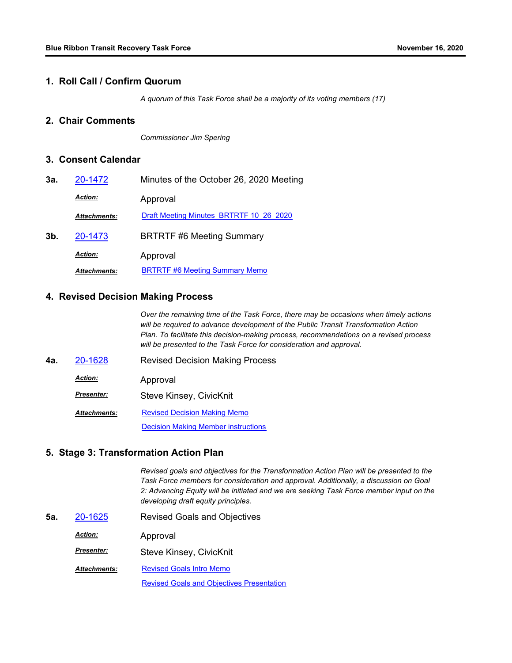#### **1. Roll Call / Confirm Quorum**

*A quorum of this Task Force shall be a majority of its voting members (17)*

## **2. Chair Comments**

*Commissioner Jim Spering*

### **3. Consent Calendar**

| 3а. | 20-1472             | Minutes of the October 26, 2020 Meeting |  |
|-----|---------------------|-----------------------------------------|--|
|     | <b>Action:</b>      | Approval                                |  |
|     | <b>Attachments:</b> | Draft Meeting Minutes BRTRTF 10 26 2020 |  |
| 3b. | 20-1473             | <b>BRTRTF #6 Meeting Summary</b>        |  |
|     | <b>Action:</b>      | Approval                                |  |
|     | <b>Attachments:</b> | <b>BRTRTF #6 Meeting Summary Memo</b>   |  |

#### **4. Revised Decision Making Process**

*Over the remaining time of the Task Force, there may be occasions when timely actions will be required to advance development of the Public Transit Transformation Action Plan. To facilitate this decision-making process, recommendations on a revised process will be presented to the Task Force for consideration and approval.*

**4a.** [20-1628](http://mtc.legistar.com/gateway.aspx?m=l&id=/matter.aspx?key=21493) Revised Decision Making Process Approval *Action:* Steve Kinsey, CivicKnit *Presenter:* [Revised Decision Making Memo](http://mtc.legistar.com/gateway.aspx?M=F&ID=d5ec7733-6cd3-49a0-abc2-6790cca5cf3a.pdf) [Decision Making Member instructions](http://mtc.legistar.com/gateway.aspx?M=F&ID=271eb663-4558-4f35-a257-343043c9f21b.pdf) *Attachments:*

#### **5. Stage 3: Transformation Action Plan**

*Revised goals and objectives for the Transformation Action Plan will be presented to the Task Force members for consideration and approval. Additionally, a discussion on Goal 2: Advancing Equity will be initiated and we are seeking Task Force member input on the developing draft equity principles.*

**5a.** [20-1625](http://mtc.legistar.com/gateway.aspx?m=l&id=/matter.aspx?key=21490) Revised Goals and Objectives Approval *Action:* Steve Kinsey, CivicKnit *Presenter:* [Revised Goals Intro Memo](http://mtc.legistar.com/gateway.aspx?M=F&ID=f0bd2f8e-3597-47eb-99ea-c0b97988ce8c.pdf) [Revised Goals and Objectives Presentation](http://mtc.legistar.com/gateway.aspx?M=F&ID=fffdfb08-6f16-4082-a269-de2db56cdaa4.pdf) *Attachments:*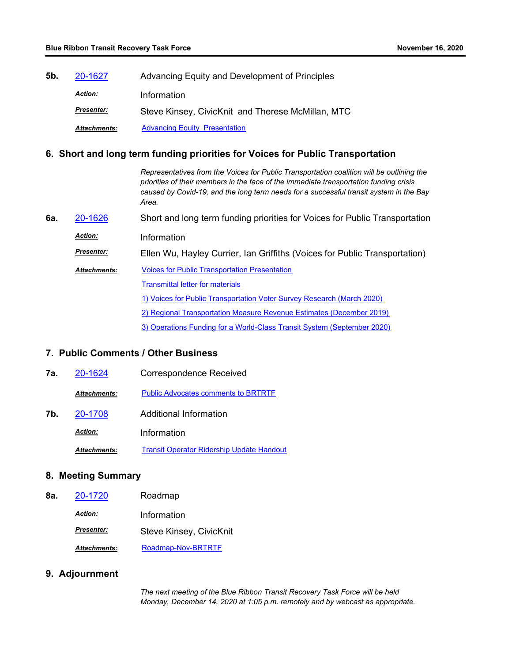**5b.** [20-1627](http://mtc.legistar.com/gateway.aspx?m=l&id=/matter.aspx?key=21492) Advancing Equity and Development of Principles *Action:* Information *Presenter:* Steve Kinsey, CivicKnit and Therese McMillan, MTC **Attachments:** [Advancing Equity\\_Presentation](http://mtc.legistar.com/gateway.aspx?M=F&ID=0f99c6a5-49c2-4b5b-a4d3-2a4667c7ae9a.pdf)

#### **6. Short and long term funding priorities for Voices for Public Transportation**

*Representatives from the Voices for Public Transportation coalition will be outlining the priorities of their members in the face of the immediate transportation funding crisis caused by Covid-19, and the long term needs for a successful transit system in the Bay Area.* **6a.** [20-1626](http://mtc.legistar.com/gateway.aspx?m=l&id=/matter.aspx?key=21491) Short and long term funding priorities for Voices for Public Transportation *Action:* Information Ellen Wu, Hayley Currier, Ian Griffiths (Voices for Public Transportation) *Presenter:* [Voices for Public Transportation Presentation](http://mtc.legistar.com/gateway.aspx?M=F&ID=9e3e486a-4f16-45c7-b3e3-4b6c5f393197.pdf) **[Transmittal letter for materials](http://mtc.legistar.com/gateway.aspx?M=F&ID=39787e33-118b-42bb-aceb-fec05430bd0c.pdf)** [1\) Voices for Public Transportation Voter Survey Research \(March 2020\)](http://mtc.legistar.com/gateway.aspx?M=F&ID=6c1309a7-212b-4fda-8bab-b0407887cc21.pdf) [2\) Regional Transportation Measure Revenue Estimates \(December 2019\)](http://mtc.legistar.com/gateway.aspx?M=F&ID=83d7aaf5-87eb-4ad3-9732-6ed5b4ada6df.pdf) [3\) Operations Funding for a World-Class Transit System \(September 2020\)](http://mtc.legistar.com/gateway.aspx?M=F&ID=70e3574b-5d28-44b9-a2d3-1d9727ea55b3.pdf) *Attachments:*

#### **7. Public Comments / Other Business**

| 7а. | 20-1624             | <b>Correspondence Received</b>                   |
|-----|---------------------|--------------------------------------------------|
|     | <b>Attachments:</b> | <b>Public Advocates comments to BRTRTF</b>       |
| 7b. | 20-1708             | Additional Information                           |
|     | <b>Action:</b>      | Information                                      |
|     | <b>Attachments:</b> | <b>Transit Operator Ridership Update Handout</b> |

## **8. Meeting Summary**

| 8а. | 20-1720             | Roadmap                 |
|-----|---------------------|-------------------------|
|     | <b>Action:</b>      | Information             |
|     | <b>Presenter:</b>   | Steve Kinsey, CivicKnit |
|     | <b>Attachments:</b> | Roadmap-Nov-BRTRTF      |

#### **9. Adjournment**

*The next meeting of the Blue Ribbon Transit Recovery Task Force will be held Monday, December 14, 2020 at 1:05 p.m. remotely and by webcast as appropriate.*